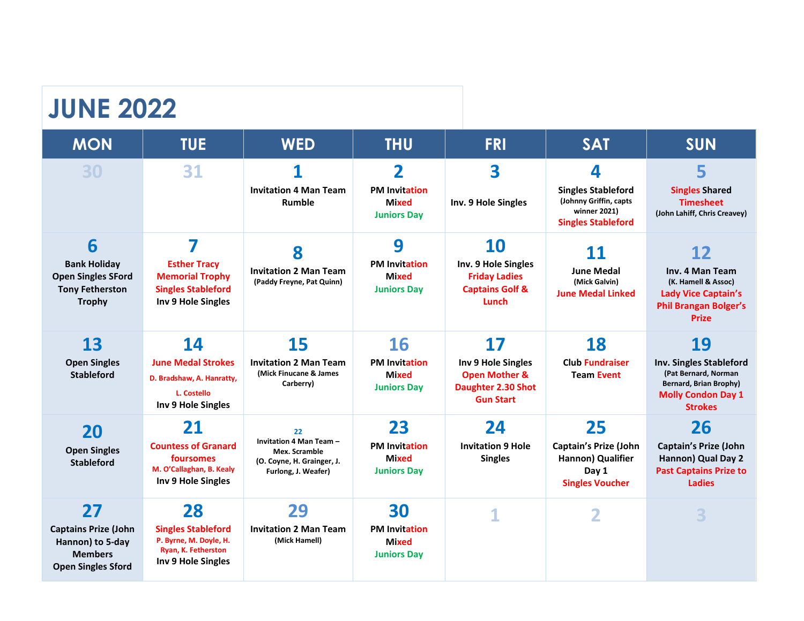#### **JUNE 2022**

| <b>MON</b>                                                                                       | <b>TUE</b>                                                                                                   | <b>WED</b>                                                                                    | <b>THU</b>                                                                            | <b>FRI</b>                                                                               | <b>SAT</b>                                                                                            | <b>SUN</b>                                                                                                                             |
|--------------------------------------------------------------------------------------------------|--------------------------------------------------------------------------------------------------------------|-----------------------------------------------------------------------------------------------|---------------------------------------------------------------------------------------|------------------------------------------------------------------------------------------|-------------------------------------------------------------------------------------------------------|----------------------------------------------------------------------------------------------------------------------------------------|
| 30                                                                                               | 31                                                                                                           | <b>Invitation 4 Man Team</b><br>Rumble                                                        | $\overline{\mathbf{2}}$<br><b>PM Invitation</b><br><b>Mixed</b><br><b>Juniors Day</b> | 3<br>Inv. 9 Hole Singles                                                                 | 4<br><b>Singles Stableford</b><br>(Johnny Griffin, capts<br>winner 2021)<br><b>Singles Stableford</b> | 5<br><b>Singles Shared</b><br><b>Timesheet</b><br>(John Lahiff, Chris Creavey)                                                         |
| 6<br><b>Bank Holiday</b><br><b>Open Singles SFord</b><br><b>Tony Fetherston</b><br><b>Trophy</b> | 7<br><b>Esther Tracy</b><br><b>Memorial Trophy</b><br><b>Singles Stableford</b><br><b>Inv 9 Hole Singles</b> | 8<br><b>Invitation 2 Man Team</b><br>(Paddy Freyne, Pat Quinn)                                | 9<br><b>PM Invitation</b><br><b>Mixed</b><br><b>Juniors Day</b>                       | 10<br>Inv. 9 Hole Singles<br><b>Friday Ladies</b><br><b>Captains Golf &amp;</b><br>Lunch | 11<br><b>June Medal</b><br>(Mick Galvin)<br><b>June Medal Linked</b>                                  | 12<br>Inv. 4 Man Team<br>(K. Hamell & Assoc)<br><b>Lady Vice Captain's</b><br><b>Phil Brangan Bolger's</b><br>Prize                    |
| 13                                                                                               | 14                                                                                                           | 15                                                                                            | 16                                                                                    | 17                                                                                       | 18                                                                                                    | 19                                                                                                                                     |
| <b>Open Singles</b><br><b>Stableford</b>                                                         | <b>June Medal Strokes</b><br>D. Bradshaw, A. Hanratty,<br>L. Costello<br>Inv 9 Hole Singles                  | <b>Invitation 2 Man Team</b><br>(Mick Finucane & James<br>Carberry)                           | <b>PM Invitation</b><br><b>Mixed</b><br><b>Juniors Day</b>                            | Inv 9 Hole Singles<br><b>Open Mother &amp;</b><br>Daughter 2.30 Shot<br><b>Gun Start</b> | <b>Club Fundraiser</b><br><b>Team Event</b>                                                           | <b>Inv. Singles Stableford</b><br>(Pat Bernard, Norman<br><b>Bernard, Brian Brophy)</b><br><b>Molly Condon Day 1</b><br><b>Strokes</b> |
| 20                                                                                               | 21                                                                                                           | 22                                                                                            | 23                                                                                    | 24                                                                                       | 25                                                                                                    | 26                                                                                                                                     |
| <b>Open Singles</b><br><b>Stableford</b>                                                         | <b>Countess of Granard</b><br>foursomes<br>M. O'Callaghan, B. Kealy<br>Inv 9 Hole Singles                    | Invitation 4 Man Team -<br>Mex. Scramble<br>(O. Coyne, H. Grainger, J.<br>Furlong, J. Weafer) | <b>PM Invitation</b><br><b>Mixed</b><br><b>Juniors Day</b>                            | <b>Invitation 9 Hole</b><br><b>Singles</b>                                               | <b>Captain's Prize (John</b><br>Hannon) Qualifier<br>Day 1<br><b>Singles Voucher</b>                  | <b>Captain's Prize (John</b><br>Hannon) Qual Day 2<br><b>Past Captains Prize to</b><br><b>Ladies</b>                                   |
| 27                                                                                               | 28                                                                                                           | 29                                                                                            | 30                                                                                    | 1                                                                                        |                                                                                                       | 3                                                                                                                                      |
| <b>Captains Prize (John</b><br>Hannon) to 5-day<br><b>Members</b><br><b>Open Singles Sford</b>   | <b>Singles Stableford</b><br>P. Byrne, M. Doyle, H.<br>Ryan, K. Fetherston<br>Inv 9 Hole Singles             | <b>Invitation 2 Man Team</b><br>(Mick Hamell)                                                 | <b>PM Invitation</b><br><b>Mixed</b><br><b>Juniors Day</b>                            |                                                                                          |                                                                                                       |                                                                                                                                        |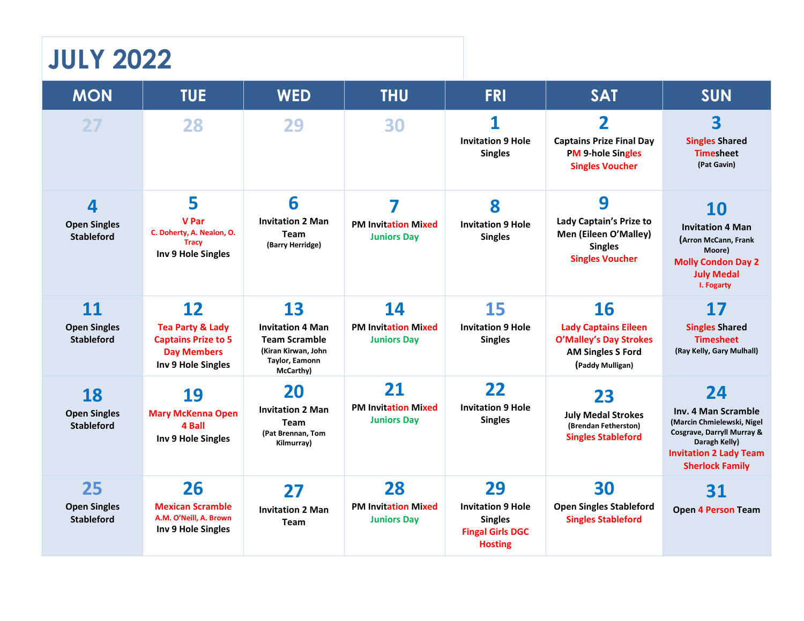# **JULY 2022**

| <b>MON</b>                                     | <b>TUE</b>                                                                                                  | <b>WED</b>                                                                                                  | <b>THU</b>                                             | <b>FRI</b>                                                                                    | <b>SAT</b>                                                                                                       | <b>SUN</b>                                                                                                                                                        |
|------------------------------------------------|-------------------------------------------------------------------------------------------------------------|-------------------------------------------------------------------------------------------------------------|--------------------------------------------------------|-----------------------------------------------------------------------------------------------|------------------------------------------------------------------------------------------------------------------|-------------------------------------------------------------------------------------------------------------------------------------------------------------------|
| 27                                             | 28                                                                                                          | 29                                                                                                          | 30                                                     | 1<br><b>Invitation 9 Hole</b><br><b>Singles</b>                                               | $\overline{\mathbf{2}}$<br><b>Captains Prize Final Day</b><br><b>PM 9-hole Singles</b><br><b>Singles Voucher</b> | 3<br><b>Singles Shared</b><br><b>Timesheet</b><br>(Pat Gavin)                                                                                                     |
| 4<br><b>Open Singles</b><br><b>Stableford</b>  | 5<br><b>V</b> Par<br>C. Doherty, A. Nealon, O.<br><b>Tracy</b><br>Inv 9 Hole Singles                        | 6<br><b>Invitation 2 Man</b><br>Team<br>(Barry Herridge)                                                    | 7<br><b>PM Invitation Mixed</b><br><b>Juniors Day</b>  | 8<br><b>Invitation 9 Hole</b><br><b>Singles</b>                                               | 9<br>Lady Captain's Prize to<br>Men (Eileen O'Malley)<br><b>Singles</b><br><b>Singles Voucher</b>                | <b>10</b><br><b>Invitation 4 Man</b><br>(Arron McCann, Frank<br>Moore)<br><b>Molly Condon Day 2</b><br><b>July Medal</b><br>I. Fogarty                            |
| 11<br><b>Open Singles</b><br><b>Stableford</b> | 12<br><b>Tea Party &amp; Lady</b><br><b>Captains Prize to 5</b><br><b>Day Members</b><br>Inv 9 Hole Singles | 13<br><b>Invitation 4 Man</b><br><b>Team Scramble</b><br>(Kiran Kirwan, John<br>Taylor, Eamonn<br>McCarthy) | 14<br><b>PM Invitation Mixed</b><br><b>Juniors Day</b> | 15<br><b>Invitation 9 Hole</b><br><b>Singles</b>                                              | 16<br><b>Lady Captains Eileen</b><br>O'Malley's Day Strokes<br><b>AM Singles S Ford</b><br>(Paddy Mulligan)      | <b>17</b><br><b>Singles Shared</b><br><b>Timesheet</b><br>(Ray Kelly, Gary Mulhall)                                                                               |
| 18<br><b>Open Singles</b><br><b>Stableford</b> | 19<br><b>Mary McKenna Open</b><br>4 Ball<br>Inv 9 Hole Singles                                              | 20<br><b>Invitation 2 Man</b><br>Team<br>(Pat Brennan, Tom<br>Kilmurray)                                    | 21<br><b>PM Invitation Mixed</b><br><b>Juniors Day</b> | 22<br><b>Invitation 9 Hole</b><br><b>Singles</b>                                              | 23<br><b>July Medal Strokes</b><br>(Brendan Fetherston)<br><b>Singles Stableford</b>                             | 24<br>Inv. 4 Man Scramble<br>(Marcin Chmielewski, Nigel<br>Cosgrave, Darryll Murray &<br>Daragh Kelly)<br><b>Invitation 2 Lady Team</b><br><b>Sherlock Family</b> |
| 25<br><b>Open Singles</b><br><b>Stableford</b> | 26<br><b>Mexican Scramble</b><br>A.M. O'Neill, A. Brown<br>Inv 9 Hole Singles                               | 27<br><b>Invitation 2 Man</b><br>Team                                                                       | 28<br><b>PM Invitation Mixed</b><br><b>Juniors Day</b> | 29<br><b>Invitation 9 Hole</b><br><b>Singles</b><br><b>Fingal Girls DGC</b><br><b>Hosting</b> | 30<br><b>Open Singles Stableford</b><br><b>Singles Stableford</b>                                                | 31<br><b>Open 4 Person Team</b>                                                                                                                                   |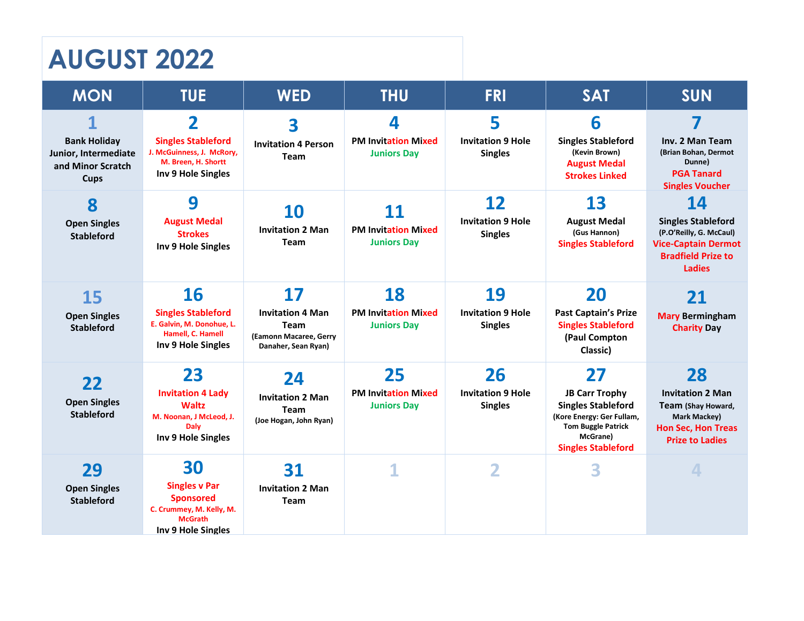# **AUGUST 2022**

| <b>MON</b>                                               | <b>TUE</b>                                                                                                   | <b>WED</b>                                                                       | <b>THU</b>                                       | <b>FRI</b>                                 | <b>SAT</b>                                                                                                                                            | <b>SUN</b>                                                                                                                       |
|----------------------------------------------------------|--------------------------------------------------------------------------------------------------------------|----------------------------------------------------------------------------------|--------------------------------------------------|--------------------------------------------|-------------------------------------------------------------------------------------------------------------------------------------------------------|----------------------------------------------------------------------------------------------------------------------------------|
| <b>Bank Holiday</b>                                      | $\overline{\mathbf{2}}$<br><b>Singles Stableford</b><br>J. McGuinness, J. McRory,                            | 3<br><b>Invitation 4 Person</b>                                                  | 4<br><b>PM Invitation Mixed</b>                  | 5<br><b>Invitation 9 Hole</b>              | 6<br><b>Singles Stableford</b><br>(Kevin Brown)                                                                                                       | 7<br>Inv. 2 Man Team<br>(Brian Bohan, Dermot                                                                                     |
| Junior, Intermediate<br>and Minor Scratch<br><b>Cups</b> | M. Breen, H. Shortt<br>Inv 9 Hole Singles                                                                    | Team                                                                             | <b>Juniors Day</b>                               | <b>Singles</b>                             | <b>August Medal</b><br><b>Strokes Linked</b>                                                                                                          | Dunne)<br><b>PGA Tanard</b><br><b>Singles Voucher</b>                                                                            |
| 8                                                        | 9                                                                                                            | <b>10</b>                                                                        | 11                                               | 12                                         | 13                                                                                                                                                    | 14                                                                                                                               |
| <b>Open Singles</b><br><b>Stableford</b>                 | <b>August Medal</b><br><b>Strokes</b><br>Inv 9 Hole Singles                                                  | <b>Invitation 2 Man</b><br>Team                                                  | <b>PM Invitation Mixed</b><br><b>Juniors Day</b> | <b>Invitation 9 Hole</b><br><b>Singles</b> | <b>August Medal</b><br>(Gus Hannon)<br><b>Singles Stableford</b>                                                                                      | <b>Singles Stableford</b><br>(P.O'Reilly, G. McCaul)<br><b>Vice-Captain Dermot</b><br><b>Bradfield Prize to</b><br><b>Ladies</b> |
| 15                                                       | 16                                                                                                           | 17                                                                               | 18                                               | 19                                         | 20                                                                                                                                                    | 21                                                                                                                               |
| <b>Open Singles</b><br><b>Stableford</b>                 | <b>Singles Stableford</b><br>E. Galvin, M. Donohue, L.<br>Hamell, C. Hamell<br>Inv 9 Hole Singles            | <b>Invitation 4 Man</b><br>Team<br>(Eamonn Macaree, Gerry<br>Danaher, Sean Ryan) | <b>PM Invitation Mixed</b><br><b>Juniors Day</b> | <b>Invitation 9 Hole</b><br><b>Singles</b> | <b>Past Captain's Prize</b><br><b>Singles Stableford</b><br>(Paul Compton<br>Classic)                                                                 | <b>Mary Bermingham</b><br><b>Charity Day</b>                                                                                     |
|                                                          | 23                                                                                                           | 24                                                                               | 25                                               | 26                                         | 27                                                                                                                                                    | 28                                                                                                                               |
| 22<br><b>Open Singles</b><br><b>Stableford</b>           | <b>Invitation 4 Lady</b><br><b>Waltz</b><br>M. Noonan, J McLeod, J.<br><b>Daly</b><br>Inv 9 Hole Singles     | <b>Invitation 2 Man</b><br>Team<br>(Joe Hogan, John Ryan)                        | <b>PM Invitation Mixed</b><br><b>Juniors Day</b> | <b>Invitation 9 Hole</b><br><b>Singles</b> | <b>JB Carr Trophy</b><br><b>Singles Stableford</b><br>(Kore Energy: Ger Fullam,<br><b>Tom Buggle Patrick</b><br>McGrane)<br><b>Singles Stableford</b> | <b>Invitation 2 Man</b><br>Team (Shay Howard,<br>Mark Mackey)<br><b>Hon Sec, Hon Treas</b><br><b>Prize to Ladies</b>             |
| 29                                                       | 30                                                                                                           | 31                                                                               | 1                                                | 2                                          | 3                                                                                                                                                     | 4                                                                                                                                |
| <b>Open Singles</b><br><b>Stableford</b>                 | <b>Singles v Par</b><br><b>Sponsored</b><br>C. Crummey, M. Kelly, M.<br><b>McGrath</b><br>Inv 9 Hole Singles | <b>Invitation 2 Man</b><br>Team                                                  |                                                  |                                            |                                                                                                                                                       |                                                                                                                                  |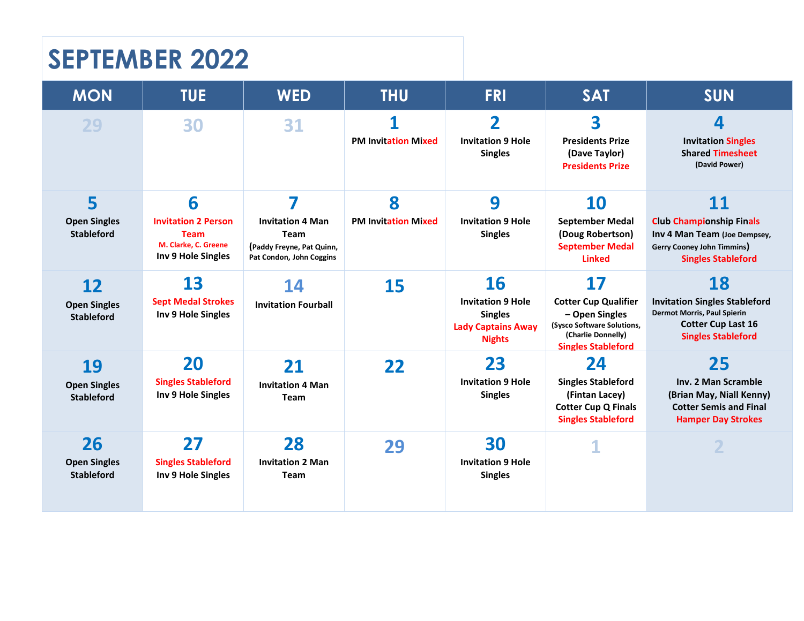# **SEPTEMBER 2022**

| <b>MON</b>                                     | <b>TUE</b>                                                                                   | <b>WED</b>                                                                                           | <b>THU</b>                      | <b>FRI</b>                                                                                     | <b>SAT</b>                                                                                                                                  | <b>SUN</b>                                                                                                                                 |
|------------------------------------------------|----------------------------------------------------------------------------------------------|------------------------------------------------------------------------------------------------------|---------------------------------|------------------------------------------------------------------------------------------------|---------------------------------------------------------------------------------------------------------------------------------------------|--------------------------------------------------------------------------------------------------------------------------------------------|
| 29                                             | 30                                                                                           | 31                                                                                                   | 1<br><b>PM Invitation Mixed</b> | 2<br><b>Invitation 9 Hole</b><br><b>Singles</b>                                                | 3<br><b>Presidents Prize</b><br>(Dave Taylor)<br><b>Presidents Prize</b>                                                                    | 4<br><b>Invitation Singles</b><br><b>Shared Timesheet</b><br>(David Power)                                                                 |
| 5<br><b>Open Singles</b><br><b>Stableford</b>  | 6<br><b>Invitation 2 Person</b><br><b>Team</b><br>M. Clarke. C. Greene<br>Inv 9 Hole Singles | 7<br><b>Invitation 4 Man</b><br><b>Team</b><br>(Paddy Freyne, Pat Quinn,<br>Pat Condon, John Coggins | 8<br><b>PM Invitation Mixed</b> | 9<br><b>Invitation 9 Hole</b><br><b>Singles</b>                                                | 10<br><b>September Medal</b><br>(Doug Robertson)<br><b>September Medal</b><br><b>Linked</b>                                                 | 11<br><b>Club Championship Finals</b><br>Inv 4 Man Team (Joe Dempsey,<br>Gerry Cooney John Timmins)<br><b>Singles Stableford</b>           |
| 12<br><b>Open Singles</b><br><b>Stableford</b> | 13<br><b>Sept Medal Strokes</b><br>Inv 9 Hole Singles                                        | 14<br><b>Invitation Fourball</b>                                                                     | 15                              | 16<br><b>Invitation 9 Hole</b><br><b>Singles</b><br><b>Lady Captains Away</b><br><b>Nights</b> | <b>17</b><br><b>Cotter Cup Qualifier</b><br>- Open Singles<br>(Sysco Software Solutions,<br>(Charlie Donnelly)<br><b>Singles Stableford</b> | 18<br><b>Invitation Singles Stableford</b><br><b>Dermot Morris, Paul Spierin</b><br><b>Cotter Cup Last 16</b><br><b>Singles Stableford</b> |
| 19<br><b>Open Singles</b><br><b>Stableford</b> | 20<br><b>Singles Stableford</b><br>Inv 9 Hole Singles                                        | 21<br><b>Invitation 4 Man</b><br><b>Team</b>                                                         | 22                              | 23<br><b>Invitation 9 Hole</b><br><b>Singles</b>                                               | 24<br><b>Singles Stableford</b><br>(Fintan Lacey)<br><b>Cotter Cup Q Finals</b><br><b>Singles Stableford</b>                                | 25<br>Inv. 2 Man Scramble<br>(Brian May, Niall Kenny)<br><b>Cotter Semis and Final</b><br><b>Hamper Day Strokes</b>                        |
| 26<br><b>Open Singles</b><br><b>Stableford</b> | 27<br><b>Singles Stableford</b><br>Inv 9 Hole Singles                                        | 28<br><b>Invitation 2 Man</b><br><b>Team</b>                                                         | 29                              | 30<br><b>Invitation 9 Hole</b><br><b>Singles</b>                                               |                                                                                                                                             |                                                                                                                                            |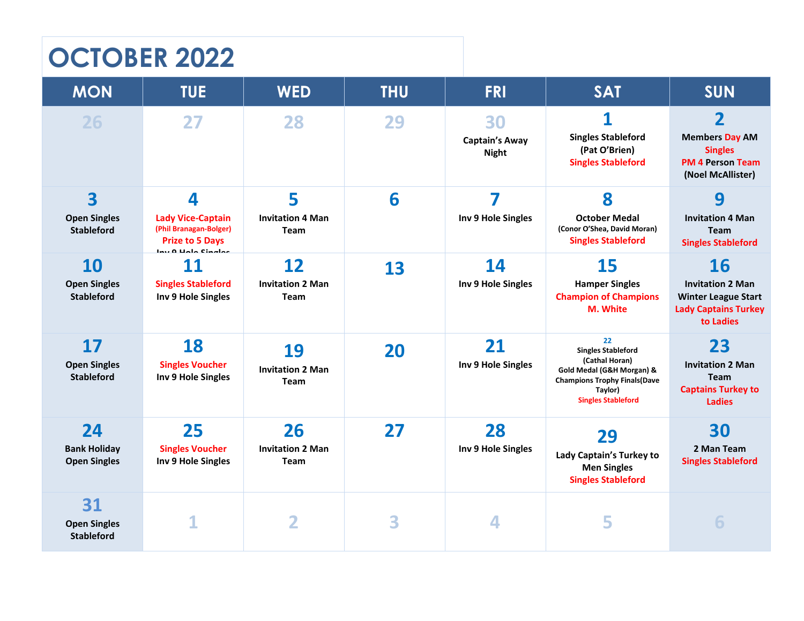# **OCTOBER 2022**

| <b>MON</b>                                            | <b>TUE</b>                                                                                              | <b>WED</b>                                           | <b>THU</b> | <b>FRI</b>                                  | <b>SAT</b>                                                                                                                                                     | <b>SUN</b>                                                                                                         |
|-------------------------------------------------------|---------------------------------------------------------------------------------------------------------|------------------------------------------------------|------------|---------------------------------------------|----------------------------------------------------------------------------------------------------------------------------------------------------------------|--------------------------------------------------------------------------------------------------------------------|
| 26                                                    | 27                                                                                                      | 28                                                   | 29         | 30<br><b>Captain's Away</b><br><b>Night</b> | 1<br><b>Singles Stableford</b><br>(Pat O'Brien)<br><b>Singles Stableford</b>                                                                                   | $\overline{\mathbf{2}}$<br><b>Members Day AM</b><br><b>Singles</b><br><b>PM 4 Person Team</b><br>(Noel McAllister) |
| 3<br><b>Open Singles</b><br><b>Stableford</b>         | 4<br><b>Lady Vice-Captain</b><br>(Phil Branagan-Bolger)<br><b>Prize to 5 Days</b><br>lau 0 Holo Cinalos | 5<br><b>Invitation 4 Man</b><br><b>Team</b>          | 6          | 7<br>Inv 9 Hole Singles                     | 8<br><b>October Medal</b><br>(Conor O'Shea, David Moran)<br><b>Singles Stableford</b>                                                                          | 9<br><b>Invitation 4 Man</b><br><b>Team</b><br><b>Singles Stableford</b>                                           |
| <b>10</b><br><b>Open Singles</b><br><b>Stableford</b> | 11<br><b>Singles Stableford</b><br>Inv 9 Hole Singles                                                   | $12 \overline{ }$<br><b>Invitation 2 Man</b><br>Team | 13         | 14<br>Inv 9 Hole Singles                    | 15<br><b>Hamper Singles</b><br><b>Champion of Champions</b><br>M. White                                                                                        | 16<br><b>Invitation 2 Man</b><br><b>Winter League Start</b><br><b>Lady Captains Turkey</b><br>to Ladies            |
| <b>17</b><br><b>Open Singles</b><br><b>Stableford</b> | 18<br><b>Singles Voucher</b><br>Inv 9 Hole Singles                                                      | 19<br><b>Invitation 2 Man</b><br>Team                | 20         | 21<br>Inv 9 Hole Singles                    | 22<br><b>Singles Stableford</b><br>(Cathal Horan)<br>Gold Medal (G&H Morgan) &<br><b>Champions Trophy Finals (Dave</b><br>Taylor)<br><b>Singles Stableford</b> | 23<br><b>Invitation 2 Man</b><br><b>Team</b><br><b>Captains Turkey to</b><br><b>Ladies</b>                         |
| 24<br><b>Bank Holiday</b><br><b>Open Singles</b>      | 25<br><b>Singles Voucher</b><br>Inv 9 Hole Singles                                                      | 26<br><b>Invitation 2 Man</b><br><b>Team</b>         | 27         | 28<br>Inv 9 Hole Singles                    | 29<br>Lady Captain's Turkey to<br><b>Men Singles</b><br><b>Singles Stableford</b>                                                                              | 30<br>2 Man Team<br><b>Singles Stableford</b>                                                                      |
| 31<br><b>Open Singles</b><br><b>Stableford</b>        |                                                                                                         | $\overline{\mathbf{2}}$                              | 3          | 4                                           | 5                                                                                                                                                              | 6                                                                                                                  |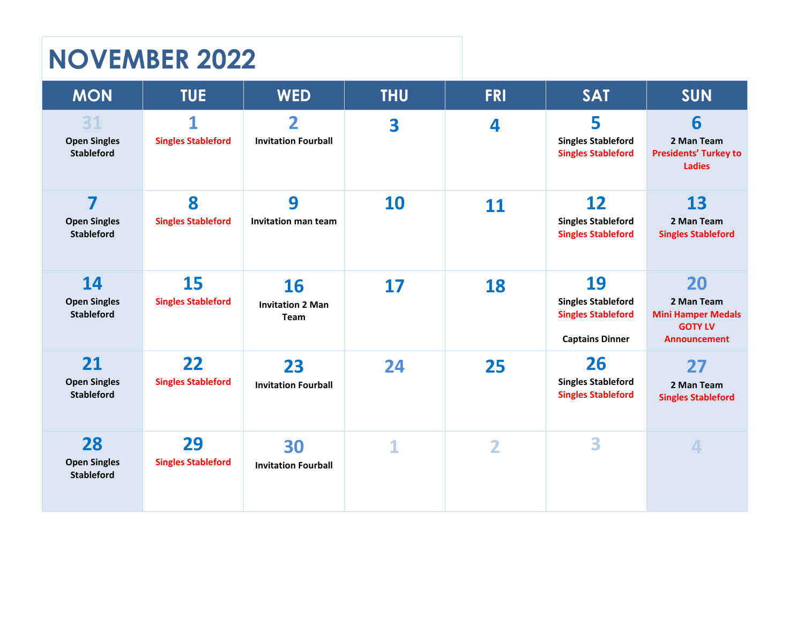# **NOVEMBER 2022**

| <b>MON</b>                                                          | <b>TUE</b>                      | <b>WED</b>                                            | <b>THU</b>  | <b>FRI</b> | <b>SAT</b>                                                                             | <b>SUN</b>                                                                             |
|---------------------------------------------------------------------|---------------------------------|-------------------------------------------------------|-------------|------------|----------------------------------------------------------------------------------------|----------------------------------------------------------------------------------------|
| 31<br><b>Open Singles</b><br><b>Stableford</b>                      | 1<br><b>Singles Stableford</b>  | $\overline{\mathbf{2}}$<br><b>Invitation Fourball</b> | 3           | 4          | 5<br><b>Singles Stableford</b><br><b>Singles Stableford</b>                            | 6<br>2 Man Team<br><b>Presidents' Turkey to</b><br><b>Ladies</b>                       |
| $\overline{\mathbf{z}}$<br><b>Open Singles</b><br><b>Stableford</b> | 8<br><b>Singles Stableford</b>  | 9<br><b>Invitation man team</b>                       | 10          | 11         | 12<br><b>Singles Stableford</b><br><b>Singles Stableford</b>                           | 13<br>2 Man Team<br><b>Singles Stableford</b>                                          |
| 14<br><b>Open Singles</b><br><b>Stableford</b>                      | 15<br><b>Singles Stableford</b> | <b>16</b><br><b>Invitation 2 Man</b><br>Team          | 17          | 18         | 19<br><b>Singles Stableford</b><br><b>Singles Stableford</b><br><b>Captains Dinner</b> | 20<br>2 Man Team<br><b>Mini Hamper Medals</b><br><b>GOTY LV</b><br><b>Announcement</b> |
| 21<br><b>Open Singles</b><br><b>Stableford</b>                      | 22<br><b>Singles Stableford</b> | 23<br><b>Invitation Fourball</b>                      | 24          | 25         | 26<br><b>Singles Stableford</b><br><b>Singles Stableford</b>                           | 27<br>2 Man Team<br><b>Singles Stableford</b>                                          |
| 28<br><b>Open Singles</b><br><b>Stableford</b>                      | 29<br><b>Singles Stableford</b> | 30<br><b>Invitation Fourball</b>                      | $\mathbf 1$ | 2          | 3                                                                                      | 4                                                                                      |